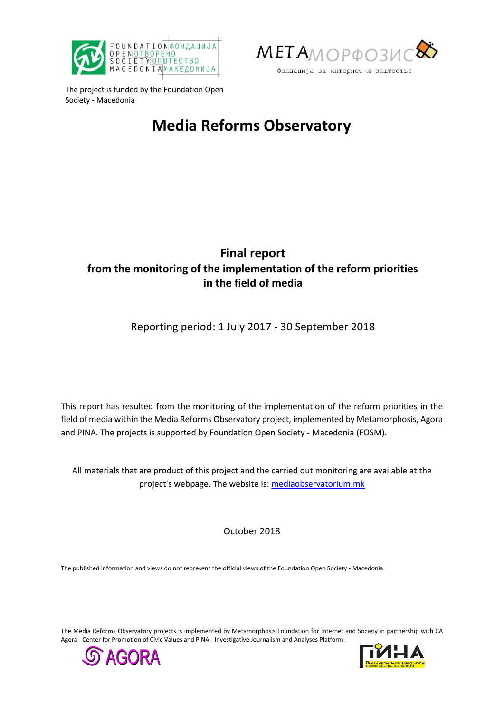



The project is funded by the Foundation Open Society - Macedonia

# **Media Reforms Observatory**

# **Final report from the monitoring of the implementation of the reform priorities in the field of media**

Reporting period: 1 July 2017 - 30 September 2018

This report has resulted from the monitoring of the implementation of the reform priorities in the field of media within the Media Reforms Observatory project, implemented by Metamorphosis, Agora and PINA. The projects is supported by Foundation Open Society - Macedonia (FOSM).

All materials that are product of this project and the carried out monitoring are available at the project's webpage. The website is[: mediaobservatorium.mk](http://mediaobservatorium.mk/)

October 2018

The published information and views do not represent the official views of the Foundation Open Society - Macedonia.

The Media Reforms Observatory projects is implemented by Metamorphosis Foundation for Internet and Society in partnership with CA Agora - Center for Promotion of Civic Values and PINA - Investigative Journalism and Analyses Platform.



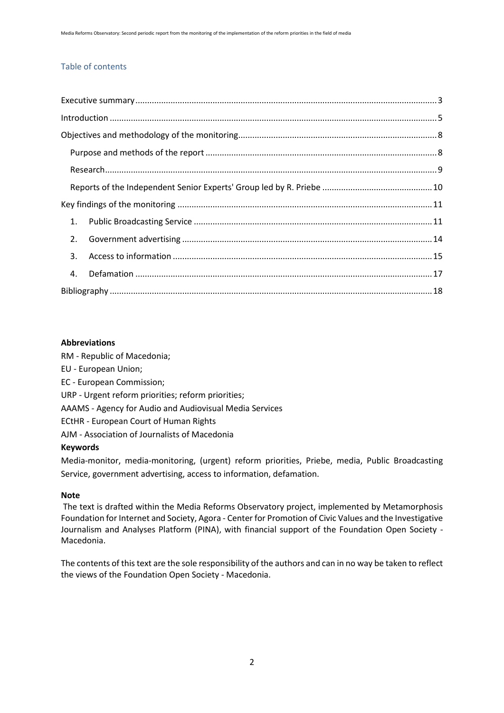#### Table of contents

| 1.             |  |
|----------------|--|
| 2.             |  |
| 3 <sub>1</sub> |  |
| 4.             |  |
|                |  |

#### **Abbreviations**

RM - Republic of Macedonia;

- EU European Union;
- EC European Commission;
- URP Urgent reform priorities; reform priorities;
- AAAMS Agency for Audio and Audiovisual Media Services

ECtHR - European Court of Human Rights

AJM - Association of Journalists of Macedonia

#### **Keywords**

Media-monitor, media-monitoring, (urgent) reform priorities, Priebe, media, Public Broadcasting Service, government advertising, access to information, defamation.

#### **Note**

The text is drafted within the Media Reforms Observatory project, implemented by Metamorphosis Foundation for Internet and Society, Agora - Center for Promotion of Civic Values and the Investigative Journalism and Analyses Platform (PINA), with financial support of the Foundation Open Society - Macedonia.

The contents of this text are the sole responsibility of the authors and can in no way be taken to reflect the views of the Foundation Open Society - Macedonia.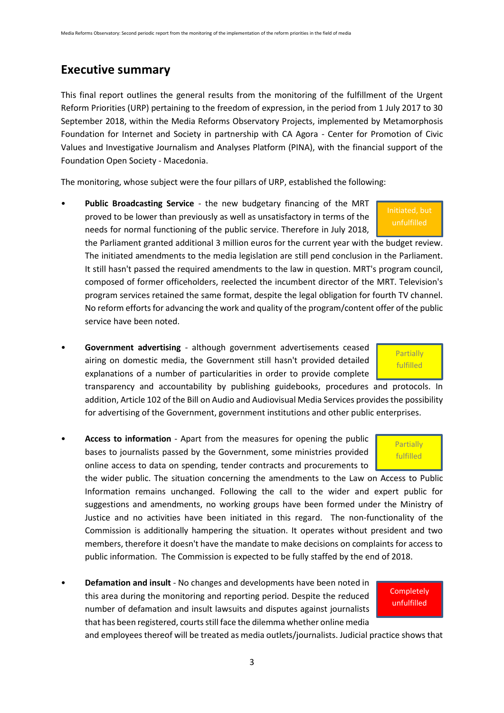### <span id="page-2-0"></span>**Executive summary**

This final report outlines the general results from the monitoring of the fulfillment of the Urgent Reform Priorities (URP) pertaining to the freedom of expression, in the period from 1 July 2017 to 30 September 2018, within the Media Reforms Observatory Projects, implemented by Metamorphosis Foundation for Internet and Society in partnership with CA Agora - Center for Promotion of Civic Values and Investigative Journalism and Analyses Platform (PINA), with the financial support of the Foundation Open Society - Macedonia.

The monitoring, whose subject were the four pillars of URP, established the following:

• **Public Broadcasting Service** - the new budgetary financing of the MRT proved to be lower than previously as well as unsatisfactory in terms of the needs for normal functioning of the public service. Therefore in July 2018,

the Parliament granted additional 3 million euros for the current year with the budget review. The initiated amendments to the media legislation are still pend conclusion in the Parliament. It still hasn't passed the required amendments to the law in question. MRT's program council, composed of former officeholders, reelected the incumbent director of the MRT. Television's program services retained the same format, despite the legal obligation for fourth TV channel. No reform efforts for advancing the work and quality of the program/content offer of the public service have been noted.

• **Government advertising** - although government advertisements ceased airing on domestic media, the Government still hasn't provided detailed explanations of a number of particularities in order to provide complete

transparency and accountability by publishing guidebooks, procedures and protocols. In addition, Article 102 of the Bill on Audio and Audiovisual Media Services provides the possibility for advertising of the Government, government institutions and other public enterprises.

• **Access to information** - Apart from the measures for opening the public bases to journalists passed by the Government, some ministries provided online access to data on spending, tender contracts and procurements to

the wider public. The situation concerning the amendments to the Law on Access to Public Information remains unchanged. Following the call to the wider and expert public for suggestions and amendments, no working groups have been formed under the Ministry of Justice and no activities have been initiated in this regard. The non-functionality of the Commission is additionally hampering the situation. It operates without president and two members, therefore it doesn't have the mandate to make decisions on complaints for access to public information. The Commission is expected to be fully staffed by the end of 2018.

• **Defamation and insult** - No changes and developments have been noted in this area during the monitoring and reporting period. Despite the reduced number of defamation and insult lawsuits and disputes against journalists that has been registered, courts still face the dilemma whether online media

and employees thereof will be treated as media outlets/journalists. Judicial practice shows that



**Partially** fulfilled

**Completely** unfulfilled

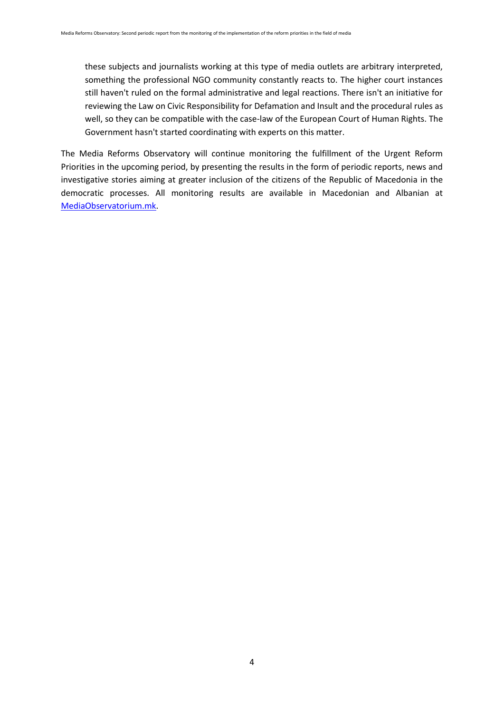these subjects and journalists working at this type of media outlets are arbitrary interpreted, something the professional NGO community constantly reacts to. The higher court instances still haven't ruled on the formal administrative and legal reactions. There isn't an initiative for reviewing the Law on Civic Responsibility for Defamation and Insult and the procedural rules as well, so they can be compatible with the case-law of the European Court of Human Rights. The Government hasn't started coordinating with experts on this matter.

The Media Reforms Observatory will continue monitoring the fulfillment of the Urgent Reform Priorities in the upcoming period, by presenting the results in the form of periodic reports, news and investigative stories aiming at greater inclusion of the citizens of the Republic of Macedonia in the democratic processes. All monitoring results are available in Macedonian and Albanian at [MediaObservatorium.mk.](http://mediaobservatorium.mk/)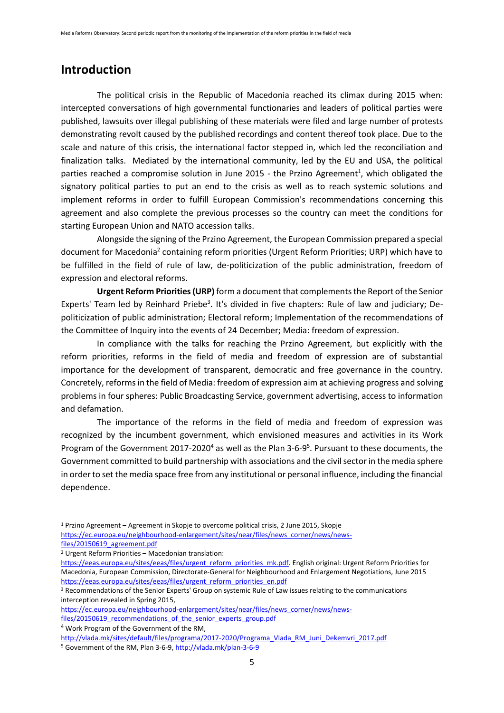### <span id="page-4-0"></span>**Introduction**

The political crisis in the Republic of Macedonia reached its climax during 2015 when: intercepted conversations of high governmental functionaries and leaders of political parties were published, lawsuits over illegal publishing of these materials were filed and large number of protests demonstrating revolt caused by the published recordings and content thereof took place. Due to the scale and nature of this crisis, the international factor stepped in, which led the reconciliation and finalization talks. Mediated by the international community, led by the EU and USA, the political parties reached a compromise solution in June 2015 - the Przino Agreement<sup>1</sup>, which obligated the signatory political parties to put an end to the crisis as well as to reach systemic solutions and implement reforms in order to fulfill European Commission's recommendations concerning this agreement and also complete the previous processes so the country can meet the conditions for starting European Union and NATO accession talks.

Alongside the signing of the Przino Agreement, the European Commission prepared a special document for Macedonia<sup>2</sup> containing reform priorities (Urgent Reform Priorities; URP) which have to be fulfilled in the field of rule of law, de-politicization of the public administration, freedom of expression and electoral reforms.

**Urgent Reform Priorities (URP)** form a document that complements the Report of the Senior Experts' Team led by Reinhard Priebe<sup>3</sup>. It's divided in five chapters: Rule of law and judiciary; Depoliticization of public administration; Electoral reform; Implementation of the recommendations of the Committee of Inquiry into the events of 24 December; Media: freedom of expression.

In compliance with the talks for reaching the Przino Agreement, but explicitly with the reform priorities, reforms in the field of media and freedom of expression are of substantial importance for the development of transparent, democratic and free governance in the country. Concretely, reforms in the field of Media: freedom of expression aim at achieving progress and solving problems in four spheres: Public Broadcasting Service, government advertising, access to information and defamation.

The importance of the reforms in the field of media and freedom of expression was recognized by the incumbent government, which envisioned measures and activities in its Work Program of the Government 2017-2020<sup>4</sup> as well as the Plan 3-6-9<sup>5</sup>. Pursuant to these documents, the Government committed to build partnership with associations and the civil sector in the media sphere in order to set the media space free from any institutional or personal influence, including the financial dependence.

**.** 

<sup>1</sup> Przino Agreement – Agreement in Skopje to overcome political crisis, 2 June 2015, Skopje [https://ec.europa.eu/neighbourhood-enlargement/sites/near/files/news\\_corner/news/news](https://ec.europa.eu/neighbourhood-enlargement/sites/near/files/news_corner/news/news-files/20150619_agreement.pdf)[files/20150619\\_agreement.pdf](https://ec.europa.eu/neighbourhood-enlargement/sites/near/files/news_corner/news/news-files/20150619_agreement.pdf)

<sup>2</sup> Urgent Reform Priorities – Macedonian translation:

[https://eeas.europa.eu/sites/eeas/files/urgent\\_reform\\_priorities\\_mk.pdf.](https://eeas.europa.eu/sites/eeas/files/urgent_reform_priorities_mk.pdf) English original: Urgent Reform Priorities for Macedonia, European Commission, Directorate-General for Neighbourhood and Enlargement Negotiations, June 2015 [https://eeas.europa.eu/sites/eeas/files/urgent\\_reform\\_priorities\\_en.pdf](https://eeas.europa.eu/sites/eeas/files/urgent_reform_priorities_en.pdf)

<sup>&</sup>lt;sup>3</sup> Recommendations of the Senior Experts' Group on systemic Rule of Law issues relating to the communications interception revealed in Spring 2015,

[https://ec.europa.eu/neighbourhood-enlargement/sites/near/files/news\\_corner/news/news](https://ec.europa.eu/neighbourhood-enlargement/sites/near/files/news_corner/news/news-files/20150619_recommendations_of_the_senior_experts_group.pdf)[files/20150619\\_recommendations\\_of\\_the\\_senior\\_experts\\_group.pdf](https://ec.europa.eu/neighbourhood-enlargement/sites/near/files/news_corner/news/news-files/20150619_recommendations_of_the_senior_experts_group.pdf)

<sup>4</sup> Work Program of the Government of the RM,

[http://vlada.mk/sites/default/files/programa/2017-2020/Programa\\_Vlada\\_RM\\_Juni\\_Dekemvri\\_2017.pdf](http://vlada.mk/sites/default/files/programa/2017-2020/Programa_Vlada_RM_Juni_Dekemvri_2017.pdf) <sup>5</sup> Government of the RM, Plan 3-6-9[, http://vlada.mk/plan-3-6-9](http://vlada.mk/plan-3-6-9)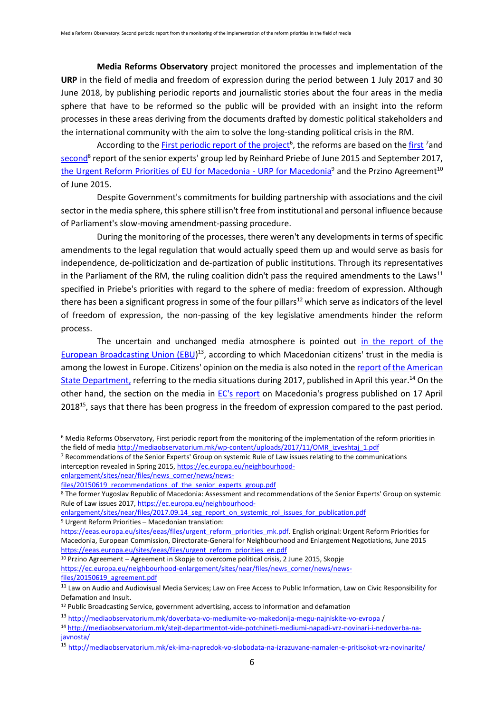**Media Reforms Observatory** project monitored the processes and implementation of the **URP** in the field of media and freedom of expression during the period between 1 July 2017 and 30 June 2018, by publishing periodic reports and journalistic stories about the four areas in the media sphere that have to be reformed so the public will be provided with an insight into the reform processes in these areas deriving from the documents drafted by domestic political stakeholders and the international community with the aim to solve the long-standing political crisis in the RM.

According to th[e First periodic report of the project](http://mediaobservatorium.mk/wp-content/uploads/2017/11/OMR_izveshtaj_1.pdf)<sup>6</sup>, the reforms are based on the [first](https://ec.europa.eu/neighbourhood-enlargement/sites/near/files/news_corner/news/news-files/20150619_recommendations_of_the_senior_experts_group.pdf) <sup>7</sup>and [second](https://ec.europa.eu/neighbourhood-enlargement/sites/near/files/2017.09.14_seg_report_on_systemic_rol_issues_for_publication.pdf)<sup>8</sup> report of the senior experts' group led by Reinhard Priebe of June 2015 and September 2017, [the Urgent Reform Priorities of EU for Macedonia -](https://eeas.europa.eu/sites/eeas/files/urgent_reform_priorities_mk.pdf) URP for Macedonia<sup>9</sup> and the Przino Agreement<sup>10</sup> of June 2015.

Despite Government's commitments for building partnership with associations and the civil sector in the media sphere, this sphere still isn't free from institutional and personal influence because of Parliament's slow-moving amendment-passing procedure.

During the monitoring of the processes, there weren't any developments in terms of specific amendments to the legal regulation that would actually speed them up and would serve as basis for independence, de-politicization and de-partization of public institutions. Through its representatives in the Parliament of the RM, the ruling coalition didn't pass the required amendments to the Laws<sup>11</sup> specified in Priebe's priorities with regard to the sphere of media: freedom of expression. Although there has been a significant progress in some of the four pillars<sup>12</sup> which serve as indicators of the level of freedom of expression, the non-passing of the key legislative amendments hinder the reform process.

The uncertain and unchanged media atmosphere is pointed out [in the report of the](http://mediaobservatorium.mk/doverbata-vo-mediumite-vo-makedonija-megu-najniskite-vo-evropa/)  [European Broadcasting Union \(EBU\)](http://mediaobservatorium.mk/doverbata-vo-mediumite-vo-makedonija-megu-najniskite-vo-evropa/)<sup>13</sup>, according to which Macedonian citizens' trust in the media is among the lowest in Europe. Citizens' opinion on the media is also noted in the [report of the American](http://mediaobservatorium.mk/stejt-departmentot-vide-potchineti-mediumi-napadi-vrz-novinari-i-nedoverba-na-javnosta/)  [State Department,](http://mediaobservatorium.mk/stejt-departmentot-vide-potchineti-mediumi-napadi-vrz-novinari-i-nedoverba-na-javnosta/) referring to the media situations during 2017, published in April this year.<sup>14</sup> On the other hand, the section on the media in [EC's report](http://mediaobservatorium.mk/ek-ima-napredok-vo-slobodata-na-izrazuvane-namalen-e-pritisokot-vrz-novinarite/) on Macedonia's progress published on 17 April 2018<sup>15</sup>, says that there has been progress in the freedom of expression compared to the past period.

**.** 

<sup>6</sup> Media Reforms Observatory, First periodic report from the monitoring of the implementation of the reform priorities in the field of medi[a http://mediaobservatorium.mk/wp-content/uploads/2017/11/OMR\\_izveshtaj\\_1.pdf](http://mediaobservatorium.mk/wp-content/uploads/2017/11/OMR_izveshtaj_1.pdf)

<sup>&</sup>lt;sup>7</sup> Recommendations of the Senior Experts' Group on systemic Rule of Law issues relating to the communications interception revealed in Spring 2015[, https://ec.europa.eu/neighbourhood-](https://ec.europa.eu/neighbourhood-enlargement/sites/near/files/news_corner/news/news-files/20150619_recommendations_of_the_senior_experts_group.pdf)

[enlargement/sites/near/files/news\\_corner/news/news-](https://ec.europa.eu/neighbourhood-enlargement/sites/near/files/news_corner/news/news-files/20150619_recommendations_of_the_senior_experts_group.pdf)

files/20150619 recommendations of the senior experts group.pdf

<sup>8</sup> The former Yugoslav Republic of Macedonia: Assessment and recommendations of the Senior Experts' Group on systemic Rule of Law issues 2017[, https://ec.europa.eu/neighbourhood-](https://ec.europa.eu/neighbourhood-enlargement/sites/near/files/2017.09.14_seg_report_on_systemic_rol_issues_for_publication.pdf)

[enlargement/sites/near/files/2017.09.14\\_seg\\_report\\_on\\_systemic\\_rol\\_issues\\_for\\_publication.pdf](https://ec.europa.eu/neighbourhood-enlargement/sites/near/files/2017.09.14_seg_report_on_systemic_rol_issues_for_publication.pdf)

<sup>9</sup> Urgent Reform Priorities – Macedonian translation:

[https://eeas.europa.eu/sites/eeas/files/urgent\\_reform\\_priorities\\_mk.pdf.](https://eeas.europa.eu/sites/eeas/files/urgent_reform_priorities_mk.pdf) English original: Urgent Reform Priorities for Macedonia, European Commission, Directorate-General for Neighbourhood and Enlargement Negotiations, June 2015 [https://eeas.europa.eu/sites/eeas/files/urgent\\_reform\\_priorities\\_en.pdf](https://eeas.europa.eu/sites/eeas/files/urgent_reform_priorities_en.pdf)

<sup>10</sup> Przino Agreement – Agreement in Skopje to overcome political crisis, 2 June 2015, Skopje [https://ec.europa.eu/neighbourhood-enlargement/sites/near/files/news\\_corner/news/news](https://ec.europa.eu/neighbourhood-enlargement/sites/near/files/news_corner/news/news-files/20150619_agreement.pdf)files/20150619 agreement.pdf

<sup>&</sup>lt;sup>11</sup> Law on Audio and Audiovisual Media Services; Law on Free Access to Public Information, Law on Civic Responsibility for Defamation and Insult.

<sup>12</sup> Public Broadcasting Service, government advertising, access to information and defamation

<sup>13</sup> <http://mediaobservatorium.mk/doverbata-vo-mediumite-vo-makedonija-megu-najniskite-vo-evropa> /

<sup>14</sup> [http://mediaobservatorium.mk/stejt-departmentot-vide-potchineti-mediumi-napadi-vrz-novinari-i-nedoverba-na](http://mediaobservatorium.mk/stejt-departmentot-vide-potchineti-mediumi-napadi-vrz-novinari-i-nedoverba-na-javnosta/)[javnosta/](http://mediaobservatorium.mk/stejt-departmentot-vide-potchineti-mediumi-napadi-vrz-novinari-i-nedoverba-na-javnosta/)

<sup>15</sup> <http://mediaobservatorium.mk/ek-ima-napredok-vo-slobodata-na-izrazuvane-namalen-e-pritisokot-vrz-novinarite/>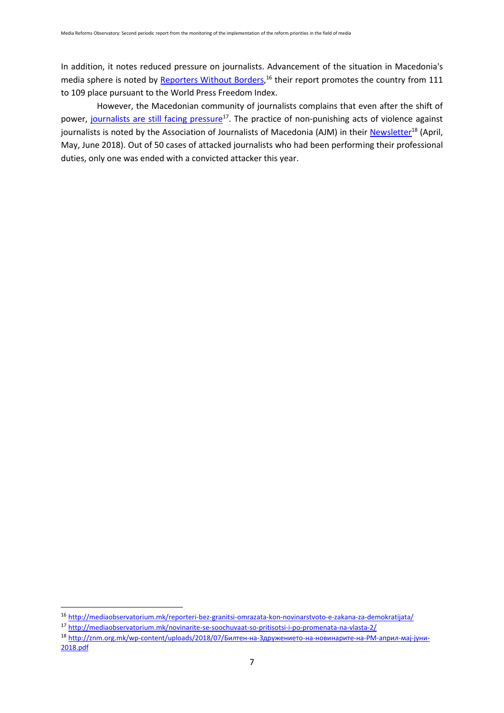In addition, it notes reduced pressure on journalists. Advancement of the situation in Macedonia's media sphere is noted by [Reporters Without Borders,](http://mediaobservatorium.mk/reporteri-bez-granitsi-omrazata-kon-novinarstvoto-e-zakana-za-demokratijata/)<sup>16</sup> their report promotes the country from 111 to 109 place pursuant to the World Press Freedom Index.

However, the Macedonian community of journalists complains that even after the shift of power, [journalists are still facing pressure](http://mediaobservatorium.mk/novinarite-se-soochuvaat-so-pritisotsi-i-po-promenata-na-vlasta-2/)<sup>17</sup>. The practice of non-punishing acts of violence against journalists is noted by the Association of Journalists of Macedonia (AJM) in their [Newsletter](http://znm.org.mk/wp-content/uploads/2018/07/Билтен-на-Здружението-на-новинарите-на-РМ-април-мај-јуни-2018.pdf)<sup>18</sup> (April, May, June 2018). Out of 50 cases of attacked journalists who had been performing their professional duties, only one was ended with a convicted attacker this year.

<sup>16</sup> <http://mediaobservatorium.mk/reporteri-bez-granitsi-omrazata-kon-novinarstvoto-e-zakana-za-demokratijata/>

<sup>17</sup> <http://mediaobservatorium.mk/novinarite-se-soochuvaat-so-pritisotsi-i-po-promenata-na-vlasta-2/>

<sup>18</sup> http://znm.org.mk/wp-[content/uploads/2018/07/Билтен](http://znm.org.mk/wp-content/uploads/2018/07/Билтен-на-Здружението-на-новинарите-на-РМ-април-мај-јуни-2018.pdf)-на-Здружението-на-новинарите-на-РМ-април-мај-јуни-[2018.pdf](http://znm.org.mk/wp-content/uploads/2018/07/Билтен-на-Здружението-на-новинарите-на-РМ-април-мај-јуни-2018.pdf)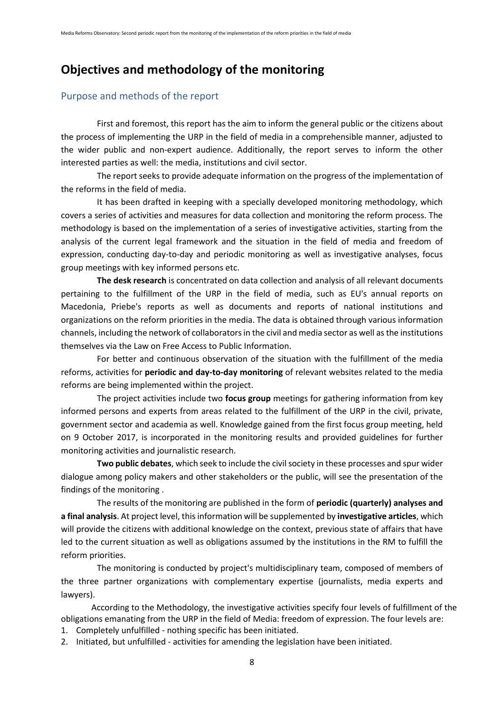### <span id="page-7-0"></span>**Objectives and methodology of the monitoring**

#### <span id="page-7-1"></span>Purpose and methods of the report

First and foremost, this report has the aim to inform the general public or the citizens about the process of implementing the URP in the field of media in a comprehensible manner, adjusted to the wider public and non-expert audience. Additionally, the report serves to inform the other interested parties as well: the media, institutions and civil sector.

The report seeks to provide adequate information on the progress of the implementation of the reforms in the field of media.

It has been drafted in keeping with a specially developed monitoring methodology, which covers a series of activities and measures for data collection and monitoring the reform process. The methodology is based on the implementation of a series of investigative activities, starting from the analysis of the current legal framework and the situation in the field of media and freedom of expression, conducting day-to-day and periodic monitoring as well as investigative analyses, focus group meetings with key informed persons etc.

**The desk research** is concentrated on data collection and analysis of all relevant documents pertaining to the fulfillment of the URP in the field of media, such as EU's annual reports on Macedonia, Priebe's reports as well as documents and reports of national institutions and organizations on the reform priorities in the media. The data is obtained through various information channels, including the network of collaborators in the civil and media sector as well as the institutions themselves via the Law on Free Access to Public Information.

For better and continuous observation of the situation with the fulfillment of the media reforms, activities for **periodic and day-to-day monitoring** of relevant websites related to the media reforms are being implemented within the project.

The project activities include two **focus group** meetings for gathering information from key informed persons and experts from areas related to the fulfillment of the URP in the civil, private, government sector and academia as well. Knowledge gained from the first focus group meeting, held on 9 October 2017, is incorporated in the monitoring results and provided guidelines for further monitoring activities and journalistic research.

**Two public debates**, which seek to include the civil society in these processes and spur wider dialogue among policy makers and other stakeholders or the public, will see the presentation of the findings of the monitoring .

The results of the monitoring are published in the form of **periodic (quarterly) analyses and a final analysis**. At project level, this information will be supplemented by **investigative articles**, which will provide the citizens with additional knowledge on the context, previous state of affairs that have led to the current situation as well as obligations assumed by the institutions in the RM to fulfill the reform priorities.

The monitoring is conducted by project's multidisciplinary team, composed of members of the three partner organizations with complementary expertise (journalists, media experts and lawyers).

According to the Methodology, the investigative activities specify four levels of fulfillment of the obligations emanating from the URP in the field of Media: freedom of expression. The four levels are:

1. Completely unfulfilled - nothing specific has been initiated.

2. Initiated, but unfulfilled - activities for amending the legislation have been initiated.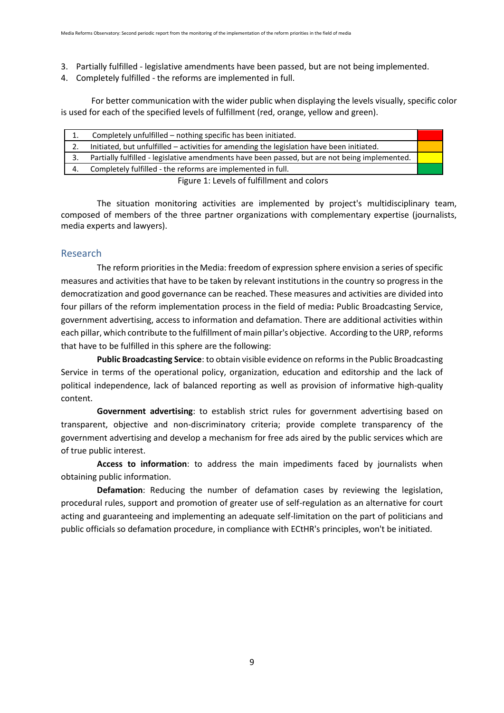- 3. Partially fulfilled legislative amendments have been passed, but are not being implemented.
- 4. Completely fulfilled the reforms are implemented in full.

For better communication with the wider public when displaying the levels visually, specific color is used for each of the specified levels of fulfillment (red, orange, yellow and green).

| 1.                                         | Completely unfulfilled – nothing specific has been initiated.                                 |  |
|--------------------------------------------|-----------------------------------------------------------------------------------------------|--|
|                                            | Initiated, but unfulfilled - activities for amending the legislation have been initiated.     |  |
| 3.                                         | Partially fulfilled - legislative amendments have been passed, but are not being implemented. |  |
| 4.                                         | Completely fulfilled - the reforms are implemented in full.                                   |  |
| Figure 1: Lougle of fulfillmont and colore |                                                                                               |  |

Figure 1: Levels of fulfillment and colors

The situation monitoring activities are implemented by project's multidisciplinary team, composed of members of the three partner organizations with complementary expertise (journalists, media experts and lawyers).

#### <span id="page-8-0"></span>Research

The reform priorities in the Media: freedom of expression sphere envision a series of specific measures and activities that have to be taken by relevant institutions in the country so progress in the democratization and good governance can be reached. These measures and activities are divided into four pillars of the reform implementation process in the field of media**:** Public Broadcasting Service, government advertising, access to information and defamation. There are additional activities within each pillar, which contribute to the fulfillment of main pillar's objective. According to the URP, reforms that have to be fulfilled in this sphere are the following:

**Public Broadcasting Service**: to obtain visible evidence on reforms in the Public Broadcasting Service in terms of the operational policy, organization, education and editorship and the lack of political independence, lack of balanced reporting as well as provision of informative high-quality content.

**Government advertising**: to establish strict rules for government advertising based on transparent, objective and non-discriminatory criteria; provide complete transparency of the government advertising and develop a mechanism for free ads aired by the public services which are of true public interest.

**Access to information**: to address the main impediments faced by journalists when obtaining public information.

**Defamation**: Reducing the number of defamation cases by reviewing the legislation, procedural rules, support and promotion of greater use of self-regulation as an alternative for court acting and guaranteeing and implementing an adequate self-limitation on the part of politicians and public officials so defamation procedure, in compliance with ECtHR's principles, won't be initiated.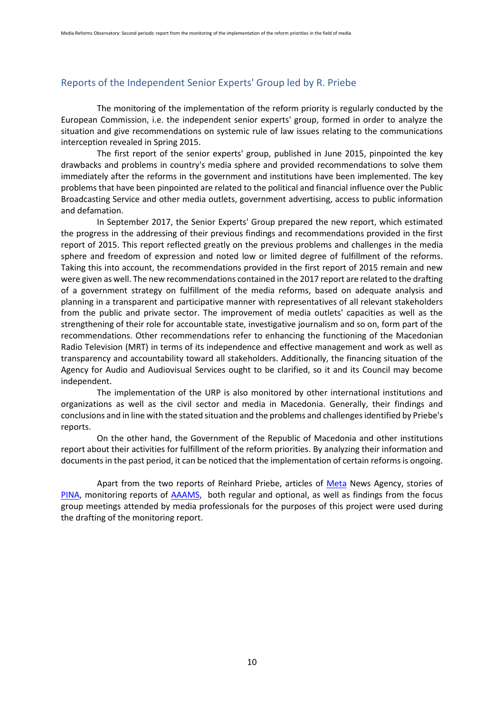#### <span id="page-9-0"></span>Reports of the Independent Senior Experts' Group led by R. Priebe

The monitoring of the implementation of the reform priority is regularly conducted by the European Commission, i.e. the independent senior experts' group, formed in order to analyze the situation and give recommendations on systemic rule of law issues relating to the communications interception revealed in Spring 2015.

The first report of the senior experts' group, published in June 2015, pinpointed the key drawbacks and problems in country's media sphere and provided recommendations to solve them immediately after the reforms in the government and institutions have been implemented. The key problems that have been pinpointed are related to the political and financial influence over the Public Broadcasting Service and other media outlets, government advertising, access to public information and defamation.

In September 2017, the Senior Experts' Group prepared the new report, which estimated the progress in the addressing of their previous findings and recommendations provided in the first report of 2015. This report reflected greatly on the previous problems and challenges in the media sphere and freedom of expression and noted low or limited degree of fulfillment of the reforms. Taking this into account, the recommendations provided in the first report of 2015 remain and new were given as well. The new recommendations contained in the 2017 report are related to the drafting of a government strategy on fulfillment of the media reforms, based on adequate analysis and planning in a transparent and participative manner with representatives of all relevant stakeholders from the public and private sector. The improvement of media outlets' capacities as well as the strengthening of their role for accountable state, investigative journalism and so on, form part of the recommendations. Other recommendations refer to enhancing the functioning of the Macedonian Radio Television (MRT) in terms of its independence and effective management and work as well as transparency and accountability toward all stakeholders. Additionally, the financing situation of the Agency for Audio and Audiovisual Services ought to be clarified, so it and its Council may become independent.

The implementation of the URP is also monitored by other international institutions and organizations as well as the civil sector and media in Macedonia. Generally, their findings and conclusions and in line with the stated situation and the problems and challenges identified by Priebe's reports.

On the other hand, the Government of the Republic of Macedonia and other institutions report about their activities for fulfillment of the reform priorities. By analyzing their information and documents in the past period, it can be noticed that the implementation of certain reforms is ongoing.

Apart from the two reports of Reinhard Priebe, articles of [Meta](http://meta.mk/) News Agency, stories of [PINA,](https://pina.mk/) monitoring reports of [AAAMS,](http://avmu.mk/) both regular and optional, as well as findings from the focus group meetings attended by media professionals for the purposes of this project were used during the drafting of the monitoring report.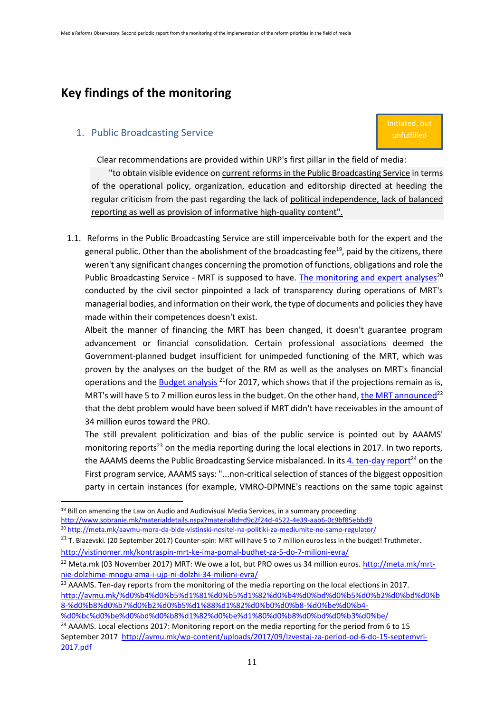# <span id="page-10-0"></span>**Key findings of the monitoring**

#### <span id="page-10-1"></span>1. Public Broadcasting Service

**.** 

Initiated, but unfulfilled

Clear recommendations are provided within URP's first pillar in the field of media:

"to obtain visible evidence on current reforms in the Public Broadcasting Service in terms of the operational policy, organization, education and editorship directed at heeding the regular criticism from the past regarding the lack of political independence, lack of balanced reporting as well as provision of informative high-quality content".

1.1. Reforms in the Public Broadcasting Service are still imperceivable both for the expert and the general public. Other than the abolishment of the broadcasting fee<sup>19</sup>, paid by the citizens, there weren't any significant changes concerning the promotion of functions, obligations and role the Public Broadcasting Service - MRT is supposed to have. [The monitoring and expert analyses](http://meta.mk/aavmu-mora-da-bide-vistinski-nositel-na-politiki-za-mediumite-ne-samo-regulator/)<sup>20</sup> conducted by the civil sector pinpointed a lack of transparency during operations of MRT's managerial bodies, and information on their work, the type of documents and policiesthey have made within their competences doesn't exist.

Albeit the manner of financing the MRT has been changed, it doesn't guarantee program advancement or financial consolidation. Certain professional associations deemed the Government-planned budget insufficient for unimpeded functioning of the MRT, which was proven by the analyses on the budget of the RM as well as the analyses on MRT's financial operations and th[e Budget analysis](http://vistinomer.mk/kontraspin-mrt-ke-ima-pomal-budhet-za-5-do-7-milioni-evra/)  $^{21}$  for 2017, which shows that if the projections remain as is, MRT's will have 5 to 7 million euros less in the budget. On the other hand[, the MRT announced](http://meta.mk/mrt-nie-dolzhime-mnogu-ama-i-ujp-ni-dolzhi-34-milioni-evra/)<sup>22</sup> that the debt problem would have been solved if MRT didn't have receivables in the amount of 34 million euros toward the PRO.

The still prevalent politicization and bias of the public service is pointed out by AAAMS' monitoring reports<sup>23</sup> on the media reporting during the local elections in 2017. In two reports, the AAAMS deems the Public Broadcasting Service misbalanced. In its 4, ten-day report<sup>24</sup> on the First program service, AAAMS says: "...non-critical selection of stances of the biggest opposition party in certain instances (for example, VMRO-DPMNE's reactions on the same topic against

 $23$  AAAMS. Ten-day reports from the monitoring of the media reporting on the local elections in 2017. [http://avmu.mk/%d0%b4%d0%b5%d1%81%d0%b5%d1%82%d0%b4%d0%bd%d0%b5%d0%b2%d0%bd%d0%b](http://avmu.mk/%d0%b4%d0%b5%d1%81%d0%b5%d1%82%d0%b4%d0%bd%d0%b5%d0%b2%d0%bd%d0%b8-%d0%b8%d0%b7%d0%b2%d0%b5%d1%88%d1%82%d0%b0%d0%b8-%d0%be%d0%b4-%d0%bc%d0%be%d0%bd%d0%b8%d1%82%d0%be%d1%80%d0%b8%d0%bd%d0%b3%d0%be/) [8-%d0%b8%d0%b7%d0%b2%d0%b5%d1%88%d1%82%d0%b0%d0%b8-%d0%be%d0%b4-](http://avmu.mk/%d0%b4%d0%b5%d1%81%d0%b5%d1%82%d0%b4%d0%bd%d0%b5%d0%b2%d0%bd%d0%b8-%d0%b8%d0%b7%d0%b2%d0%b5%d1%88%d1%82%d0%b0%d0%b8-%d0%be%d0%b4-%d0%bc%d0%be%d0%bd%d0%b8%d1%82%d0%be%d1%80%d0%b8%d0%bd%d0%b3%d0%be/) [%d0%bc%d0%be%d0%bd%d0%b8%d1%82%d0%be%d1%80%d0%b8%d0%bd%d0%b3%d0%be/](http://avmu.mk/%d0%b4%d0%b5%d1%81%d0%b5%d1%82%d0%b4%d0%bd%d0%b5%d0%b2%d0%bd%d0%b8-%d0%b8%d0%b7%d0%b2%d0%b5%d1%88%d1%82%d0%b0%d0%b8-%d0%be%d0%b4-%d0%bc%d0%be%d0%bd%d0%b8%d1%82%d0%be%d1%80%d0%b8%d0%bd%d0%b3%d0%be/)

 $19$  Bill on amending the Law on Audio and Audiovisual Media Services, in a summary proceeding <http://www.sobranie.mk/materialdetails.nspx?materialId=d9c2f24d-4522-4e39-aab6-0c9bf85ebbd9> <sup>20</sup> <http://meta.mk/aavmu-mora-da-bide-vistinski-nositel-na-politiki-za-mediumite-ne-samo-regulator/>

<sup>&</sup>lt;sup>21</sup> T. Blazevski. (20 September 2017) Counter-spin: MRT will have 5 to 7 million euros less in the budget! Truthmeter. <http://vistinomer.mk/kontraspin-mrt-ke-ima-pomal-budhet-za-5-do-7-milioni-evra/>

<sup>&</sup>lt;sup>22</sup> Meta.mk (03 November 2017) MRT: We owe a lot, but PRO owes us 34 million euros. [http://meta.mk/mrt](http://meta.mk/mrt-nie-dolzhime-mnogu-ama-i-ujp-ni-dolzhi-34-milioni-evra/)[nie-dolzhime-mnogu-ama-i-ujp-ni-dolzhi-34-milioni-evra/](http://meta.mk/mrt-nie-dolzhime-mnogu-ama-i-ujp-ni-dolzhi-34-milioni-evra/)

<sup>&</sup>lt;sup>24</sup> AAAMS. Local elections 2017: Monitoring report on the media reporting for the period from 6 to 15 September 2017 [http://avmu.mk/wp-content/uploads/2017/09/Izvestaj-za-period-od-6-do-15-septemvri-](http://avmu.mk/wp-content/uploads/2017/09/Izvestaj-za-period-od-6-do-15-septemvri-2017.pdf)[2017.pdf](http://avmu.mk/wp-content/uploads/2017/09/Izvestaj-za-period-od-6-do-15-septemvri-2017.pdf)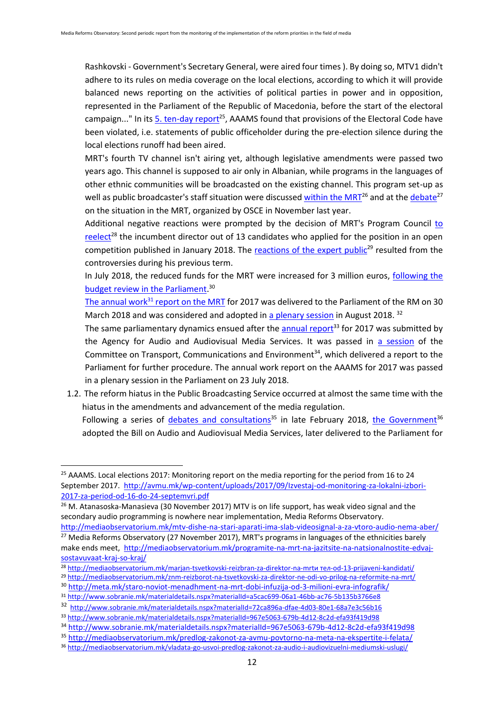Rashkovski - Government's Secretary General, were aired four times ). By doing so, MTV1 didn't adhere to its rules on media coverage on the local elections, according to which it will provide balanced news reporting on the activities of political parties in power and in opposition, represented in the Parliament of the Republic of Macedonia, before the start of the electoral campaign..." In its [5. ten-day report](http://avmu.mk/wp-content/uploads/2017/09/Izvestaj-od-monitoring-za-lokalni-izbori-2017-za-period-od-16-do-24-septemvri.pdf)<sup>25</sup>, AAAMS found that provisions of the Electoral Code have been violated, i.e. statements of public officeholder during the pre-election silence during the local elections runoff had been aired.

MRT's fourth TV channel isn't airing yet, although legislative amendments were passed two years ago. This channel is supposed to air only in Albanian, while programs in the languages of other ethnic communities will be broadcasted on the existing channel. This program set-up as well as public broadcaster's staff situation were discussed [within the MRT](http://mediaobservatorium.mk/mtv-dishe-na-stari-aparati-ima-slab-videosignal-a-za-vtoro-audio-nema-aber/)<sup>26</sup> and at th[e debate](http://mediaobservatorium.mk/programite-na-mrt-na-jazitsite-na-natsionalnostite-edvaj-sostavuvaat-kraj-so-kraj/)<sup>27</sup> on the situation in the MRT, organized by OSCE in November last year.

Additional negative reactions were prompted by the decision of MRT's Program Council [to](http://mediaobservatorium.mk/marjan-tsvetkovski-reizbran-za-direktor-na-mrt-od-13-prijaveni-kandidati/)  [reelect](http://mediaobservatorium.mk/marjan-tsvetkovski-reizbran-za-direktor-na-mrt-od-13-prijaveni-kandidati/)<sup>28</sup> the incumbent director out of 13 candidates who applied for the position in an open competition published in January 2018. The [reactions of the expert public](http://mediaobservatorium.mk/znm-reizborot-na-tsvetkovski-za-direktor-ne-odi-vo-prilog-na-reformite-na-mrt/)<sup>29</sup> resulted from the controversies during his previous term.

In July 2018, the reduced funds for the MRT were increased for 3 million euros, [following the](http://meta.mk/staro-noviot-menadhment-na-mrt-dobi-infuzija-od-3-milioni-evra-infografik/)  [budget review in the Parliament.](http://meta.mk/staro-noviot-menadhment-na-mrt-dobi-infuzija-od-3-milioni-evra-infografik/)<sup>30</sup>

The annual work $31$  [report on the MRT](http://www.sobranie.mk/materialdetails.nspx?materialId=a5cac699-06a1-46bb-ac76-5b135b3766e8) for 2017 was delivered to the Parliament of the RM on 30 March 2018 and was considered and adopted in [a plenary session](http://www.sobranie.mk/materialdetails.nspx?materialId=72ca896a-dfae-4d03-80e1-68a7e3c56b16) in August 2018.<sup>32</sup>

The same parliamentary dynamics ensued after the  $\frac{1}{2}$  [annual report](http://www.sobranie.mk/materialdetails.nspx?materialId=967e5063-679b-4d12-8c2d-efa93f419d98)<sup>33</sup> for 2017 was submitted by the Agency for Audio and Audiovisual Media Services. It was passed in [a session](http://www.sobranie.mk/materialdetails.nspx?materialId=967e5063-679b-4d12-8c2d-efa93f419d98) of the Committee on Transport, Communications and Environment<sup>34</sup>, which delivered a report to the Parliament for further procedure. The annual work report on the AAAMS for 2017 was passed in a plenary session in the Parliament on 23 July 2018.

1.2. The reform hiatus in the Public Broadcasting Service occurred at almost the same time with the hiatus in the amendments and advancement of the media regulation. Following a series of [debates and consultations](http://mediaobservatorium.mk/predlog-zakonot-za-avmu-povtorno-na-meta-na-ekspertite-i-felata/)<sup>35</sup> in late February 2018, [the Government](http://mediaobservatorium.mk/vladata-go-usvoi-predlog-zakonot-za-audio-i-audiovizuelni-mediumski-uslugi/)<sup>36</sup> adopted the Bill on Audio and Audiovisual Media Services, later delivered to the Parliament for

<sup>&</sup>lt;sup>25</sup> AAAMS. Local elections 2017: Monitoring report on the media reporting for the period from 16 to 24 September 2017. [http://avmu.mk/wp-content/uploads/2017/09/Izvestaj-od-monitoring-za-lokalni-izbori-](http://avmu.mk/wp-content/uploads/2017/09/Izvestaj-od-monitoring-za-lokalni-izbori-2017-za-period-od-16-do-24-septemvri.pdf)[2017-za-period-od-16-do-24-septemvri.pdf](http://avmu.mk/wp-content/uploads/2017/09/Izvestaj-od-monitoring-za-lokalni-izbori-2017-za-period-od-16-do-24-septemvri.pdf)

<sup>&</sup>lt;sup>26</sup> M. Atanasoska-Manasieva (30 November 2017) MTV is on life support, has weak video signal and the secondary audio programming is nowhere near implementation, Media Reforms Observatory.

<http://mediaobservatorium.mk/mtv-dishe-na-stari-aparati-ima-slab-videosignal-a-za-vtoro-audio-nema-aber/> <sup>27</sup> Media Reforms Observatory (27 November 2017), MRT's programs in languages of the ethnicities barely make ends meet, [http://mediaobservatorium.mk/programite-na-mrt-na-jazitsite-na-natsionalnostite-edvaj](http://mediaobservatorium.mk/programite-na-mrt-na-jazitsite-na-natsionalnostite-edvaj-sostavuvaat-kraj-so-kraj/)[sostavuvaat-kraj-so-kraj/](http://mediaobservatorium.mk/programite-na-mrt-na-jazitsite-na-natsionalnostite-edvaj-sostavuvaat-kraj-so-kraj/)

<sup>28</sup> [http://mediaobservatorium.mk/marjan-tsvetkovski-reizbran-za-direktor-na-](http://mediaobservatorium.mk/marjan-tsvetkovski-reizbran-za-direktor-na-mrtи%20тел-od-13-prijaveni-kandidati/)mrtи тел-od-13-prijaveni-kandidati/

<sup>29</sup> <http://mediaobservatorium.mk/znm-reizborot-na-tsvetkovski-za-direktor-ne-odi-vo-prilog-na-reformite-na-mrt/>

<sup>30</sup> <http://meta.mk/staro-noviot-menadhment-na-mrt-dobi-infuzija-od-3-milioni-evra-infografik/>

<sup>31</sup> <http://www.sobranie.mk/materialdetails.nspx?materialId=a5cac699-06a1-46bb-ac76-5b135b3766e8>

<sup>32</sup> <http://www.sobranie.mk/materialdetails.nspx?materialId=72ca896a-dfae-4d03-80e1-68a7e3c56b16>

<sup>33</sup> <http://www.sobranie.mk/materialdetails.nspx?materialId=967e5063-679b-4d12-8c2d-efa93f419d98>

<sup>34</sup> <http://www.sobranie.mk/materialdetails.nspx?materialId=967e5063-679b-4d12-8c2d-efa93f419d98>

<sup>35</sup> <http://mediaobservatorium.mk/predlog-zakonot-za-avmu-povtorno-na-meta-na-ekspertite-i-felata/> <sup>36</sup> <http://mediaobservatorium.mk/vladata-go-usvoi-predlog-zakonot-za-audio-i-audiovizuelni-mediumski-uslugi/>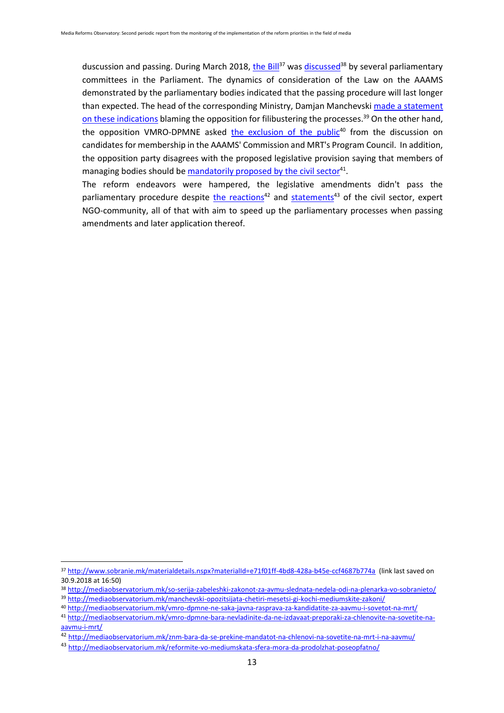duscussion and passing. During March 2018[, the Bill](http://www.sobranie.mk/materialdetails.nspx?materialId=e71f01ff-4bd8-428a-b45e-ccf4687b774a)<sup>37</sup> was [discussed](http://mediaobservatorium.mk/so-serija-zabeleshki-zakonot-za-avmu-slednata-nedela-odi-na-plenarka-vo-sobranieto/)<sup>38</sup> by several parliamentary committees in the Parliament. The dynamics of consideration of the Law on the AAAMS demonstrated by the parliamentary bodies indicated that the passing procedure will last longer than expected. The head of the corresponding Ministry, Damjan Manchevski made a statement [on these indications](http://mediaobservatorium.mk/manchevski-opozitsijata-chetiri-mesetsi-gi-kochi-mediumskite-zakoni/) blaming the opposition for filibustering the processes.<sup>39</sup> On the other hand, the opposition VMRO-DPMNE asked [the exclusion of the public](http://mediaobservatorium.mk/vmro-dpmne-ne-saka-javna-rasprava-za-kandidatite-za-aavmu-i-sovetot-na-mrt/)<sup>40</sup> from the discussion on candidates for membership in the AAAMS' Commission and MRT's Program Council. In addition, the opposition party disagrees with the proposed legislative provision saying that members of managing bodies should b[e mandatorily proposed by the civil sector](http://mediaobservatorium.mk/vmro-dpmne-bara-nevladinite-da-ne-izdavaat-preporaki-za-chlenovite-na-sovetite-na-aavmu-i-mrt/)<sup>41</sup>.

The reform endeavors were hampered, the legislative amendments didn't pass the parliamentary procedure despite [the reactions](http://mediaobservatorium.mk/znm-bara-da-se-prekine-mandatot-na-chlenovi-na-sovetite-na-mrt-i-na-aavmu/)<sup>42</sup> and [statements](http://mediaobservatorium.mk/reformite-vo-mediumskata-sfera-mora-da-prodolzhat-poseopfatno/)<sup>43</sup> of the civil sector, expert NGO-community, all of that with aim to speed up the parliamentary processes when passing amendments and later application thereof.

<sup>37</sup> <http://www.sobranie.mk/materialdetails.nspx?materialId=e71f01ff-4bd8-428a-b45e-ccf4687b774a>(link last saved on 30.9.2018 at 16:50)

<sup>38</sup> <http://mediaobservatorium.mk/so-serija-zabeleshki-zakonot-za-avmu-slednata-nedela-odi-na-plenarka-vo-sobranieto/> <sup>39</sup> <http://mediaobservatorium.mk/manchevski-opozitsijata-chetiri-mesetsi-gi-kochi-mediumskite-zakoni/>

<sup>40</sup> <http://mediaobservatorium.mk/vmro-dpmne-ne-saka-javna-rasprava-za-kandidatite-za-aavmu-i-sovetot-na-mrt/>

<sup>41</sup> [http://mediaobservatorium.mk/vmro-dpmne-bara-nevladinite-da-ne-izdavaat-preporaki-za-chlenovite-na-sovetite-na](http://mediaobservatorium.mk/vmro-dpmne-bara-nevladinite-da-ne-izdavaat-preporaki-za-chlenovite-na-sovetite-na-aavmu-i-mrt/)[aavmu-i-mrt/](http://mediaobservatorium.mk/vmro-dpmne-bara-nevladinite-da-ne-izdavaat-preporaki-za-chlenovite-na-sovetite-na-aavmu-i-mrt/)

<sup>42</sup> <http://mediaobservatorium.mk/znm-bara-da-se-prekine-mandatot-na-chlenovi-na-sovetite-na-mrt-i-na-aavmu/>

<sup>43</sup> <http://mediaobservatorium.mk/reformite-vo-mediumskata-sfera-mora-da-prodolzhat-poseopfatno/>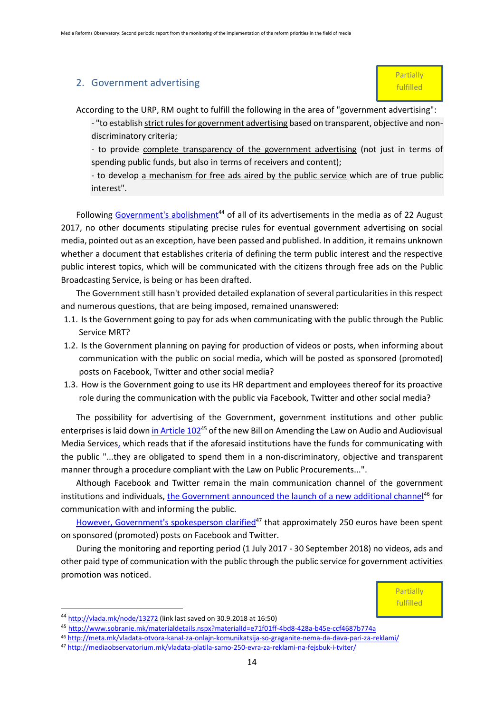#### <span id="page-13-0"></span>2. Government advertising

According to the URP, RM ought to fulfill the following in the area of "government advertising":

- "to establish strict rules for government advertising based on transparent, objective and nondiscriminatory criteria;

- to provide complete transparency of the government advertising (not just in terms of spending public funds, but also in terms of receivers and content);

- to develop a mechanism for free ads aired by the public service which are of true public interest".

Following [Government's abolishment](http://vlada.mk/node/13272)<sup>44</sup> of all of its advertisements in the media as of 22 August 2017, no other documents stipulating precise rules for eventual government advertising on social media, pointed out as an exception, have been passed and published. In addition, it remains unknown whether a document that establishes criteria of defining the term public interest and the respective public interest topics, which will be communicated with the citizens through free ads on the Public Broadcasting Service, is being or has been drafted.

The Government still hasn't provided detailed explanation of several particularities in this respect and numerous questions, that are being imposed, remained unanswered:

- 1.1. Is the Government going to pay for ads when communicating with the public through the Public Service MRT?
- 1.2. Is the Government planning on paying for production of videos or posts, when informing about communication with the public on social media, which will be posted as sponsored (promoted) posts on Facebook, Twitter and other social media?
- 1.3. How is the Government going to use its HR department and employees thereof for its proactive role during the communication with the public via Facebook, Twitter and other social media?

The possibility for advertising of the Government, government institutions and other public enterprises is laid dow[n in Article 102](http://www.sobranie.mk/materialdetails.nspx?materialId=e71f01ff-4bd8-428a-b45e-ccf4687b774a)<sup>45</sup> of the new Bill on Amending the Law on Audio and Audiovisual Media Services, which reads that if the aforesaid institutions have the funds for communicating with the public "...they are obligated to spend them in a non-discriminatory, objective and transparent manner through a procedure compliant with the Law on Public Procurements...".

Although Facebook and Twitter remain the main communication channel of the government institutions and individuals, [the Government announced the launch of a new additional channel](http://meta.mk/vladata-otvora-kanal-za-onlajn-komunikatsija-so-graganite-nema-da-dava-pari-za-reklami/)<sup>46</sup> for communication with and informing the public.

[However, Government's spokesperson clarified](http://mediaobservatorium.mk/vladata-platila-samo-250-evra-za-reklami-na-fejsbuk-i-tviter/) $47$  that approximately 250 euros have been spent on sponsored (promoted) posts on Facebook and Twitter.

During the monitoring and reporting period (1 July 2017 - 30 September 2018) no videos, ads and other paid type of communication with the public through the public service for government activities promotion was noticed.



 $\overline{a}$ 

<sup>44</sup> <http://vlada.mk/node/13272> (link last saved on 30.9.2018 at 16:50)

<sup>45</sup> <http://www.sobranie.mk/materialdetails.nspx?materialId=e71f01ff-4bd8-428a-b45e-ccf4687b774a>

<sup>46</sup> <http://meta.mk/vladata-otvora-kanal-za-onlajn-komunikatsija-so-graganite-nema-da-dava-pari-za-reklami/>

<sup>47</sup> <http://mediaobservatorium.mk/vladata-platila-samo-250-evra-za-reklami-na-fejsbuk-i-tviter/>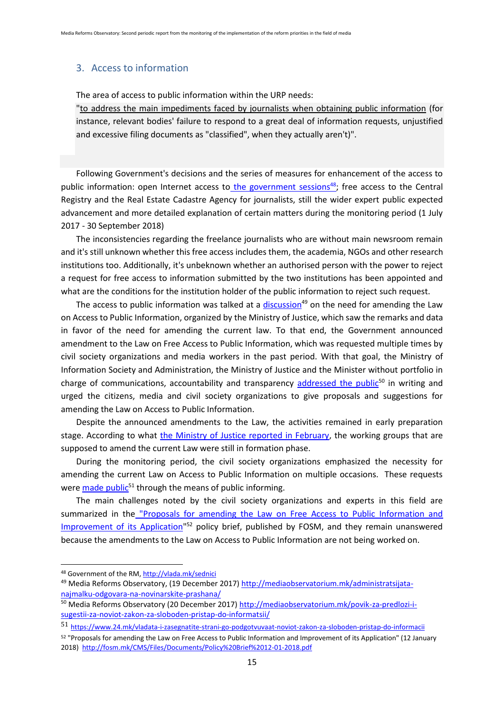#### <span id="page-14-0"></span>3. Access to information

The area of access to public information within the URP needs:

"to address the main impediments faced by journalists when obtaining public information (for instance, relevant bodies' failure to respond to a great deal of information requests, unjustified and excessive filing documents as "classified", when they actually aren't)".

Following Government's decisions and the series of measures for enhancement of the access to public information: open Internet access to [the government sessions](http://vlada.mk/vladini-sednici)<sup>48</sup>; free access to the Central Registry and the Real Estate Cadastre Agency for journalists, still the wider expert public expected advancement and more detailed explanation of certain matters during the monitoring period (1 July 2017 - 30 September 2018)

The inconsistencies regarding the freelance journalists who are without main newsroom remain and it's still unknown whether this free access includes them, the academia, NGOs and other research institutions too. Additionally, it's unbeknown whether an authorised person with the power to reject a request for free access to information submitted by the two institutions has been appointed and what are the conditions for the institution holder of the public information to reject such request.

The access to public information was talked at a [discussion](http://mediaobservatorium.mk/administratsijata-najmalku-odgovara-na-novinarskite-prashana/)<sup>49</sup> on the need for amending the Law on Access to Public Information, organized by the Ministry of Justice, which saw the remarks and data in favor of the need for amending the current law. To that end, the Government announced amendment to the Law on Free Access to Public Information, which was requested multiple times by civil society organizations and media workers in the past period. With that goal, the Ministry of Information Society and Administration, the Ministry of Justice and the Minister without portfolio in charge of communications, accountability and transparency [addressed the public](http://mediaobservatorium.mk/povik-za-predlozi-i-sugestii-za-noviot-zakon-za-sloboden-pristap-do-informatsii/)<sup>50</sup> in writing and urged the citizens, media and civil society organizations to give proposals and suggestions for amending the Law on Access to Public Information.

Despite the announced amendments to the Law, the activities remained in early preparation stage. According to what [the Ministry of Justice reported in February,](https://www.24.mk/vladata-i-zasegnatite-strani-go-podgotvuvaat-noviot-zakon-za-sloboden-pristap-do-informacii) the working groups that are supposed to amend the current Law were still in formation phase.

During the monitoring period, the civil society organizations emphasized the necessity for amending the current Law on Access to Public Information on multiple occasions. These requests were [made public](https://www.24.mk/vladata-i-zasegnatite-strani-go-podgotvuvaat-noviot-zakon-za-sloboden-pristap-do-informacii)<sup>51</sup> through the means of public informing.

The main challenges noted by the civil society organizations and experts in this field are summarized in the ["Proposals for amending the Law on Free Access to Public Information and](http://fosm.mk/CMS/Files/Documents/Policy%20Brief%2012-01-2018.pdf)  Improvement of its Application<sup>"52</sup> policy brief, published by FOSM, and they remain unanswered because the amendments to the Law on Access to Public Information are not being worked on.

<sup>48</sup> Government of the RM,<http://vlada.mk/sednici>

<sup>49</sup> Media Reforms Observatory, (19 December 2017) [http://mediaobservatorium.mk/administratsijata](http://mediaobservatorium.mk/administratsijata-najmalku-odgovara-na-novinarskite-prashana/)[najmalku-odgovara-na-novinarskite-prashana/](http://mediaobservatorium.mk/administratsijata-najmalku-odgovara-na-novinarskite-prashana/)

<sup>50</sup> Media Reforms Observatory (20 December 2017) [http://mediaobservatorium.mk/povik-za-predlozi-i](http://mediaobservatorium.mk/povik-za-predlozi-i-sugestii-za-noviot-zakon-za-sloboden-pristap-do-informatsii/)[sugestii-za-noviot-zakon-za-sloboden-pristap-do-informatsii/](http://mediaobservatorium.mk/povik-za-predlozi-i-sugestii-za-noviot-zakon-za-sloboden-pristap-do-informatsii/)

<sup>51</sup> <https://www.24.mk/vladata-i-zasegnatite-strani-go-podgotvuvaat-noviot-zakon-za-sloboden-pristap-do-informacii>

<sup>52</sup> "Proposals for amending the Law on Free Access to Public Information and Improvement of its Application" (12 January 2018)<http://fosm.mk/CMS/Files/Documents/Policy%20Brief%2012-01-2018.pdf>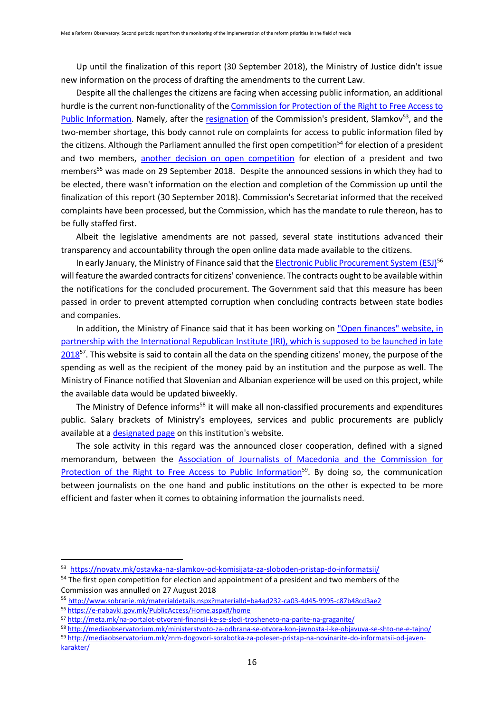Up until the finalization of this report (30 September 2018), the Ministry of Justice didn't issue new information on the process of drafting the amendments to the current Law.

Despite all the challenges the citizens are facing when accessing public information, an additional hurdle is the current non-functionality of the [Commission for Protection of the Right to Free Access to](http://komspi.mk/)  [Public Information.](http://komspi.mk/) Namely, after the [resignation](https://novatv.mk/ostavka-na-slamkov-od-komisijata-za-sloboden-pristap-do-informatsii/) of the Commission's president, Slamkov<sup>53</sup>, and the two-member shortage, this body cannot rule on complaints for access to public information filed by the citizens. Although the Parliament annulled the first open competition<sup>54</sup> for election of a president and two members, [another decision on open competition](http://www.sobranie.mk/materialdetails.nspx?materialId=ba4ad232-ca03-4d45-9995-c87b48cd3ae2) for election of a president and two members<sup>55</sup> was made on 29 September 2018. Despite the announced sessions in which they had to be elected, there wasn't information on the election and completion of the Commission up until the finalization of this report (30 September 2018). Commission's Secretariat informed that the received complaints have been processed, but the Commission, which has the mandate to rule thereon, has to be fully staffed first.

Albeit the legislative amendments are not passed, several state institutions advanced their transparency and accountability through the open online data made available to the citizens.

In early January, the Ministry of Finance said that th[e Electronic Public Procurement System \(ESJ\)](https://e-nabavki.gov.mk/PublicAccess/Home.aspx#/home)<sup>56</sup> will feature the awarded contracts for citizens' convenience. The contracts ought to be available within the notifications for the concluded procurement. The Government said that this measure has been passed in order to prevent attempted corruption when concluding contracts between state bodies and companies.

In addition, the Ministry of Finance said that it has been working on "Open finances" website, in [partnership with the International Republican Institute \(IRI\), which is supposed to be launched in late](http://meta.mk/na-portalot-otvoreni-finansii-ke-se-sledi-trosheneto-na-parite-na-graganite/)  [2018](http://meta.mk/na-portalot-otvoreni-finansii-ke-se-sledi-trosheneto-na-parite-na-graganite/)<sup>57</sup>. This website is said to contain all the data on the spending citizens' money, the purpose of the spending as well as the recipient of the money paid by an institution and the purpose as well. The Ministry of Finance notified that Slovenian and Albanian experience will be used on this project, while the available data would be updated biweekly.

The Ministry of Defence informs<sup>58</sup> it will make all non-classified procurements and expenditures public. Salary brackets of Ministry's employees, services and public procurements are publicly available at a [designated page](http://morm.gov.mk/?page_id=39917) on this institution's website.

The sole activity in this regard was the announced closer cooperation, defined with a signed memorandum, between the [Association of Journalists of Macedonia and the Commission for](http://mediaobservatorium.mk/znm-dogovori-sorabotka-za-polesen-pristap-na-novinarite-do-informatsii-od-javen-karakter/)  [Protection of the Right to Free Access to Public Information](http://mediaobservatorium.mk/znm-dogovori-sorabotka-za-polesen-pristap-na-novinarite-do-informatsii-od-javen-karakter/)<sup>59</sup>. By doing so, the communication between journalists on the one hand and public institutions on the other is expected to be more efficient and faster when it comes to obtaining information the journalists need.

 $\overline{a}$ 

<sup>&</sup>lt;sup>53</sup> <https://novatv.mk/ostavka-na-slamkov-od-komisijata-za-sloboden-pristap-do-informatsii/>

<sup>&</sup>lt;sup>54</sup> The first open competition for election and appointment of a president and two members of the Commission was annulled on 27 August 2018

<sup>55</sup> <http://www.sobranie.mk/materialdetails.nspx?materialId=ba4ad232-ca03-4d45-9995-c87b48cd3ae2>

<sup>56</sup> <https://e-nabavki.gov.mk/PublicAccess/Home.aspx#/home>

<sup>57</sup> <http://meta.mk/na-portalot-otvoreni-finansii-ke-se-sledi-trosheneto-na-parite-na-graganite/>

<sup>58</sup> <http://mediaobservatorium.mk/ministerstvoto-za-odbrana-se-otvora-kon-javnosta-i-ke-objavuva-se-shto-ne-e-tajno/>

<sup>59</sup> [http://mediaobservatorium.mk/znm-dogovori-sorabotka-za-polesen-pristap-na-novinarite-do-informatsii-od-javen](http://mediaobservatorium.mk/znm-dogovori-sorabotka-za-polesen-pristap-na-novinarite-do-informatsii-od-javen-karakter/)[karakter/](http://mediaobservatorium.mk/znm-dogovori-sorabotka-za-polesen-pristap-na-novinarite-do-informatsii-od-javen-karakter/)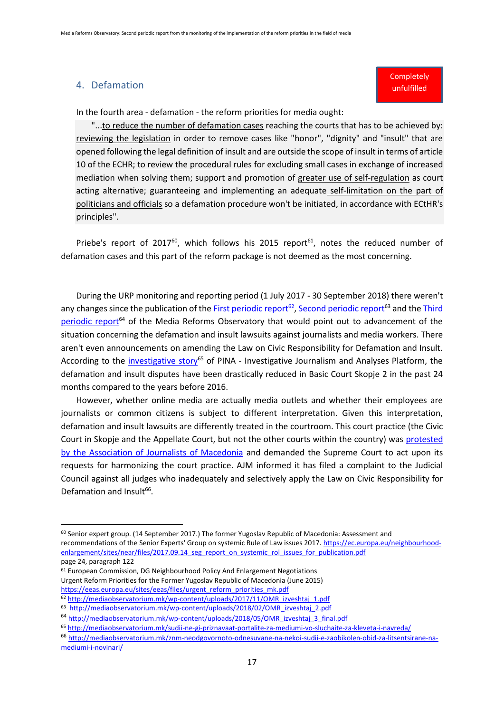#### <span id="page-16-0"></span>4. Defamation

**.** 

#### **Completely** unfulfilled

In the fourth area - defamation - the reform priorities for media ought:

"...to reduce the number of defamation cases reaching the courts that has to be achieved by: reviewing the legislation in order to remove cases like "honor", "dignity" and "insult" that are opened following the legal definition of insult and are outside the scope of insult in terms of article 10 of the ECHR; to review the procedural rules for excluding small cases in exchange of increased mediation when solving them; support and promotion of greater use of self-regulation as court acting alternative; guaranteeing and implementing an adequate self-limitation on the part of politicians and officials so a defamation procedure won't be initiated, in accordance with ECtHR's principles".

Priebe's report of 2017<sup>60</sup>, which follows his 2015 report<sup>61</sup>, notes the reduced number of defamation cases and this part of the reform package is not deemed as the most concerning.

During the URP monitoring and reporting period (1 July 2017 - 30 September 2018) there weren't any changes since the publication of the **First periodic report<sup>62</sup>[, Second periodic report](http://mediaobservatorium.mk/wp-content/uploads/2018/02/OMR_izveshtaj_2.pdf)<sup>63</sup> and the** *Third* [periodic report](http://mediaobservatorium.mk/wp-content/uploads/2018/05/OMR_izveshtaj_3_final.pdf)<sup>64</sup> of the Media Reforms Observatory that would point out to advancement of the situation concerning the defamation and insult lawsuits against journalists and media workers. There aren't even announcements on amending the Law on Civic Responsibility for Defamation and Insult. According to the [investigative story](http://mediaobservatorium.mk/sudii-ne-gi-priznavaat-portalite-za-mediumi-vo-sluchaite-za-kleveta-i-navreda/)<sup>65</sup> of PINA - Investigative Journalism and Analyses Platform, the defamation and insult disputes have been drastically reduced in Basic Court Skopje 2 in the past 24 months compared to the years before 2016.

However, whether online media are actually media outlets and whether their employees are journalists or common citizens is subject to different interpretation. Given this interpretation, defamation and insult lawsuits are differently treated in the courtroom. This court practice (the Civic Court in Skopje and the Appellate Court, but not the other courts within the country) was [protested](http://mediaobservatorium.mk/znm-neodgovornoto-odnesuvane-na-nekoi-sudii-e-zaobikolen-obid-za-litsentsirane-na-mediumi-i-novinari/)  [by the Association of Journalists of Macedonia](http://mediaobservatorium.mk/znm-neodgovornoto-odnesuvane-na-nekoi-sudii-e-zaobikolen-obid-za-litsentsirane-na-mediumi-i-novinari/) and demanded the Supreme Court to act upon its requests for harmonizing the court practice. AJM informed it has filed a complaint to the Judicial Council against all judges who inadequately and selectively apply the Law on Civic Responsibility for Defamation and Insult<sup>66</sup>.

 $61$  European Commission, DG Neighbourhood Policy And Enlargement Negotiations Urgent Reform Priorities for the Former Yugoslav Republic of Macedonia (June 2015) [https://eeas.europa.eu/sites/eeas/files/urgent\\_reform\\_priorities\\_mk.pdf](https://eeas.europa.eu/sites/eeas/files/urgent_reform_priorities_mk.pdf)

<sup>60</sup> Senior expert group. (14 September 2017.) The former Yugoslav Republic of Macedonia: Assessment and recommendations of the Senior Experts' Group on systemic Rule of Law issues 2017. [https://ec.europa.eu/neighbourhood](https://ec.europa.eu/neighbourhood-enlargement/sites/near/files/2017.09.14_seg_report_on_systemic_rol_issues_for_publication.pdf)[enlargement/sites/near/files/2017.09.14\\_seg\\_report\\_on\\_systemic\\_rol\\_issues\\_for\\_publication.pdf](https://ec.europa.eu/neighbourhood-enlargement/sites/near/files/2017.09.14_seg_report_on_systemic_rol_issues_for_publication.pdf) page 24, paragraph 122

<sup>62</sup> [http://mediaobservatorium.mk/wp-content/uploads/2017/11/OMR\\_izveshtaj\\_1.pdf](http://mediaobservatorium.mk/wp-content/uploads/2017/11/OMR_izveshtaj_1.pdf)

<sup>63</sup>  [http://mediaobservatorium.mk/wp-content/uploads/2018/02/OMR\\_izveshtaj\\_2.pdf](http://mediaobservatorium.mk/wp-content/uploads/2018/02/OMR_izveshtaj_2.pdf)

<sup>64</sup> [http://mediaobservatorium.mk/wp-content/uploads/2018/05/OMR\\_izveshtaj\\_3\\_final.pdf](http://mediaobservatorium.mk/wp-content/uploads/2018/05/OMR_izveshtaj_3_final.pdf)

<sup>65</sup> <http://mediaobservatorium.mk/sudii-ne-gi-priznavaat-portalite-za-mediumi-vo-sluchaite-za-kleveta-i-navreda/>

<sup>66</sup> [http://mediaobservatorium.mk/znm-neodgovornoto-odnesuvane-na-nekoi-sudii-e-zaobikolen-obid-za-litsentsirane-na](http://mediaobservatorium.mk/znm-neodgovornoto-odnesuvane-na-nekoi-sudii-e-zaobikolen-obid-za-litsentsirane-na-mediumi-i-novinari/)[mediumi-i-novinari/](http://mediaobservatorium.mk/znm-neodgovornoto-odnesuvane-na-nekoi-sudii-e-zaobikolen-obid-za-litsentsirane-na-mediumi-i-novinari/)